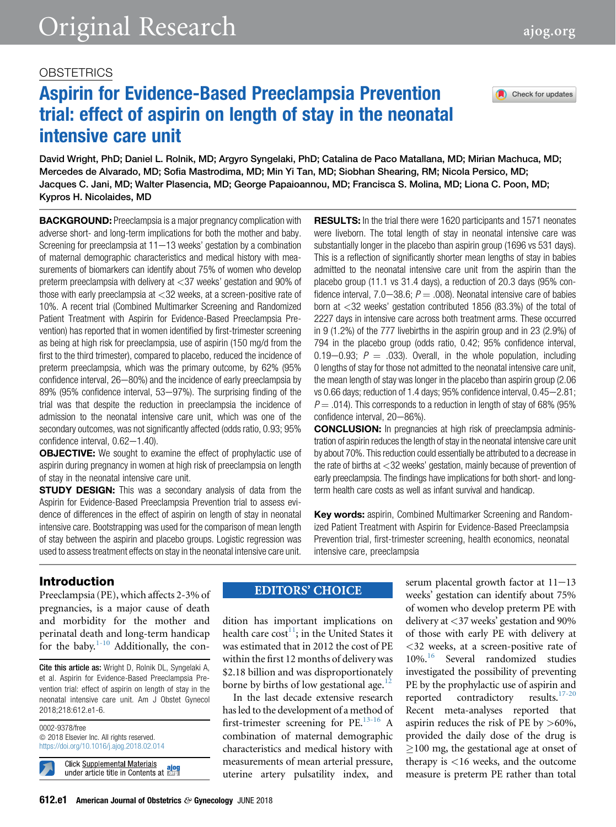# **OBSTETRICS**

# Aspirin for Evidence-Based Preeclampsia Prevention trial: effect of aspirin on length of stay in the neonatal intensive care unit

David Wright, PhD; Daniel L. Rolnik, MD; Argyro Syngelaki, PhD; Catalina de Paco Matallana, MD; Mirian Machuca, MD; Mercedes de Alvarado, MD; Sofia Mastrodima, MD; Min Yi Tan, MD; Siobhan Shearing, RM; Nicola Persico, MD; Jacques C. Jani, MD; Walter Plasencia, MD; George Papaioannou, MD; Francisca S. Molina, MD; Liona C. Poon, MD; Kypros H. Nicolaides, MD

**BACKGROUND:** Preeclampsia is a major pregnancy complication with adverse short- and long-term implications for both the mother and baby. Screening for preeclampsia at  $11-13$  weeks' gestation by a combination of maternal demographic characteristics and medical history with measurements of biomarkers can identify about 75% of women who develop preterm preeclampsia with delivery at <37 weeks' gestation and 90% of those with early preeclampsia at <32 weeks, at a screen-positive rate of 10%. A recent trial (Combined Multimarker Screening and Randomized Patient Treatment with Aspirin for Evidence-Based Preeclampsia Prevention) has reported that in women identified by first-trimester screening as being at high risk for preeclampsia, use of aspirin (150 mg/d from the first to the third trimester), compared to placebo, reduced the incidence of preterm preeclampsia, which was the primary outcome, by 62% (95% confidence interval,  $26-80%$  and the incidence of early preeclampsia by 89% (95% confidence interval, 53-97%). The surprising finding of the trial was that despite the reduction in preeclampsia the incidence of admission to the neonatal intensive care unit, which was one of the secondary outcomes, was not significantly affected (odds ratio, 0.93; 95% confidence interval,  $0.62-1.40$ ).

**OBJECTIVE:** We sought to examine the effect of prophylactic use of aspirin during pregnancy in women at high risk of preeclampsia on length of stay in the neonatal intensive care unit.

**STUDY DESIGN:** This was a secondary analysis of data from the Aspirin for Evidence-Based Preeclampsia Prevention trial to assess evidence of differences in the effect of aspirin on length of stay in neonatal intensive care. Bootstrapping was used for the comparison of mean length of stay between the aspirin and placebo groups. Logistic regression was used to assess treatment effects on stay in the neonatal intensive care unit.

**RESULTS:** In the trial there were 1620 participants and 1571 neonates were liveborn. The total length of stay in neonatal intensive care was substantially longer in the placebo than aspirin group (1696 vs 531 days). This is a reflection of significantly shorter mean lengths of stay in babies admitted to the neonatal intensive care unit from the aspirin than the placebo group (11.1 vs 31.4 days), a reduction of 20.3 days (95% confidence interval, 7.0–38.6;  $P = .008$ ). Neonatal intensive care of babies born at <32 weeks' gestation contributed 1856 (83.3%) of the total of 2227 days in intensive care across both treatment arms. These occurred in 9 (1.2%) of the 777 livebirths in the aspirin group and in 23 (2.9%) of 794 in the placebo group (odds ratio, 0.42; 95% confidence interval, 0.19–0.93;  $P = 0.033$ . Overall, in the whole population, including 0 lengths of stay for those not admitted to the neonatal intensive care unit, the mean length of stay was longer in the placebo than aspirin group (2.06 vs 0.66 days; reduction of 1.4 days; 95% confidence interval, 0.45-2.81;  $P = 0.014$ ). This corresponds to a reduction in length of stay of 68% (95%) confidence interval, 20-86%).

**CONCLUSION:** In pregnancies at high risk of preeclampsia administration of aspirin reduces the length of stay in the neonatal intensive care unit by about 70%. This reduction could essentially be attributed to a decrease in the rate of births at <32 weeks' gestation, mainly because of prevention of early preeclampsia. The findings have implications for both short- and longterm health care costs as well as infant survival and handicap.

**Key words:** aspirin, Combined Multimarker Screening and Randomized Patient Treatment with Aspirin for Evidence-Based Preeclampsia Prevention trial, first-trimester screening, health economics, neonatal intensive care, preeclampsia

# Introduction

Preeclampsia (PE), which affects 2-3% of pregnancies, is a major cause of death and morbidity for the mother and perinatal death and long-term handicap for the baby. $1-10$  Additionally, the con-

Cite this article as: Wright D, Rolnik DL, Syngelaki A, et al. Aspirin for Evidence-Based Preeclampsia Prevention trial: effect of aspirin on length of stay in the neonatal intensive care unit. Am J Obstet Gynecol 2018;218:612.e1-6.

0002-9378/free  $©$  2018 Elsevier Inc. All rights reserved. <https://doi.org/10.1016/j.ajog.2018.02.014>

**Click Supplemental Materials** under article title in Contents at **Forg** 

# **EDITORS' CHOICE**

dition has important implications on health care  $cost^{11}$ ; in the United States it was estimated that in 2012 the cost of PE within the first 12 months of delivery was \$2.18 billion and was disproportionately borne by births of low gestational age.<sup>[12](#page-5-0)</sup>

In the last decade extensive research has led to the development of a method of first-trimester screening for PE[.13-16](#page-5-0) A combination of maternal demographic characteristics and medical history with measurements of mean arterial pressure, uterine artery pulsatility index, and

serum placental growth factor at  $11-13$ weeks' gestation can identify about 75% of women who develop preterm PE with delivery at <37 weeks' gestation and 90% of those with early PE with delivery at <32 weeks, at a screen-positive rate of 10%.<sup>[16](#page-5-0)</sup> Several randomized studies investigated the possibility of preventing PE by the prophylactic use of aspirin and<br>reported contradictory results. $17-20$ reported contradictory Recent meta-analyses reported that aspirin reduces the risk of PE by >60%, provided the daily dose of the drug is  $\geq$ 100 mg, the gestational age at onset of therapy is <16 weeks, and the outcome measure is preterm PE rather than total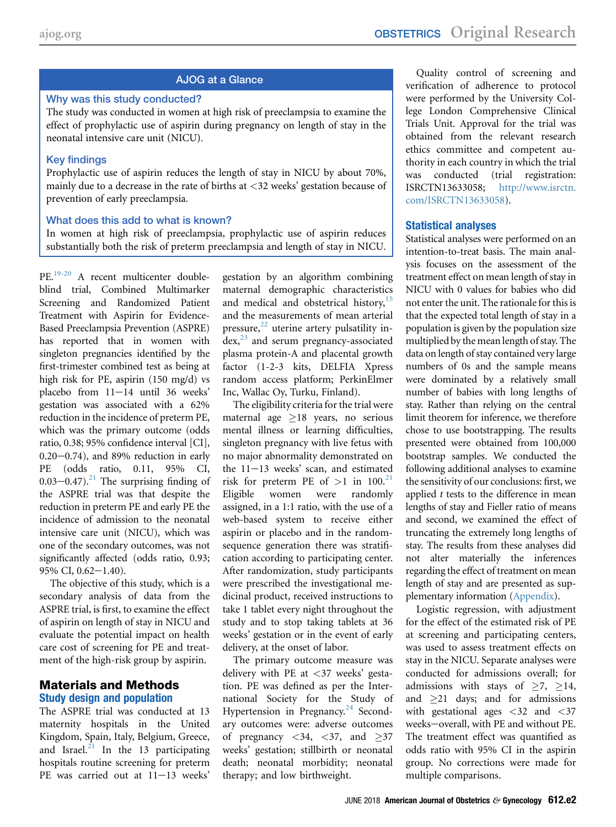# AJOG at a Glance

#### Why was this study conducted?

The study was conducted in women at high risk of preeclampsia to examine the effect of prophylactic use of aspirin during pregnancy on length of stay in the neonatal intensive care unit (NICU).

## Key findings

Prophylactic use of aspirin reduces the length of stay in NICU by about 70%, mainly due to a decrease in the rate of births at <32 weeks' gestation because of prevention of early preeclampsia.

## What does this add to what is known?

In women at high risk of preeclampsia, prophylactic use of aspirin reduces substantially both the risk of preterm preeclampsia and length of stay in NICU.

PE[.19-20](#page-5-0) A recent multicenter doubleblind trial, Combined Multimarker Screening and Randomized Patient Treatment with Aspirin for Evidence-Based Preeclampsia Prevention (ASPRE) has reported that in women with singleton pregnancies identified by the first-trimester combined test as being at high risk for PE, aspirin (150 mg/d) vs placebo from  $11-14$  until 36 weeks' gestation was associated with a 62% reduction in the incidence of preterm PE, which was the primary outcome (odds ratio, 0.38; 95% confidence interval [CI],  $0.20-0.74$ ), and 89% reduction in early PE (odds ratio, 0.11, 95% CI,  $0.03 - 0.47$ .<sup>21</sup> The surprising finding of the ASPRE trial was that despite the reduction in preterm PE and early PE the incidence of admission to the neonatal intensive care unit (NICU), which was one of the secondary outcomes, was not significantly affected (odds ratio, 0.93; 95% CI,  $0.62 - 1.40$ ).

The objective of this study, which is a secondary analysis of data from the ASPRE trial, is first, to examine the effect of aspirin on length of stay in NICU and evaluate the potential impact on health care cost of screening for PE and treatment of the high-risk group by aspirin.

## Materials and Methods Study design and population

The ASPRE trial was conducted at 13 maternity hospitals in the United Kingdom, Spain, Italy, Belgium, Greece, and Israel. $^{21}$  $^{21}$  $^{21}$  In the 13 participating hospitals routine screening for preterm PE was carried out at  $11-13$  weeks'

gestation by an algorithm combining maternal demographic characteristics and medical and obstetrical history, $15$ and the measurements of mean arterial pressure, $22$  uterine artery pulsatility in $dex$ , $^{23}$  $^{23}$  $^{23}$  and serum pregnancy-associated plasma protein-A and placental growth factor (1-2-3 kits, DELFIA Xpress random access platform; PerkinElmer Inc, Wallac Oy, Turku, Finland).

The eligibility criteria for the trial were maternal age  $\geq$ 18 years, no serious mental illness or learning difficulties, singleton pregnancy with live fetus with no major abnormality demonstrated on the  $11-13$  weeks' scan, and estimated risk for preterm PE of  $>1$  in 100.<sup>[21](#page-5-0)</sup> Eligible women were randomly assigned, in a 1:1 ratio, with the use of a web-based system to receive either aspirin or placebo and in the randomsequence generation there was stratification according to participating center. After randomization, study participants were prescribed the investigational medicinal product, received instructions to take 1 tablet every night throughout the study and to stop taking tablets at 36 weeks' gestation or in the event of early delivery, at the onset of labor.

The primary outcome measure was delivery with PE at <37 weeks' gestation. PE was defined as per the International Society for the Study of Hypertension in Pregnancy.<sup>[24](#page-5-0)</sup> Secondary outcomes were: adverse outcomes of pregnancy  $\langle 34, \langle 37, \rangle$  and  $\geq 37$ weeks' gestation; stillbirth or neonatal death; neonatal morbidity; neonatal therapy; and low birthweight.

Quality control of screening and verification of adherence to protocol were performed by the University College London Comprehensive Clinical Trials Unit. Approval for the trial was obtained from the relevant research ethics committee and competent authority in each country in which the trial was conducted (trial registration: ISRCTN13633058; [http://www.isrctn.](http://www.isrctn.com/ISRCTN13633058) [com/ISRCTN13633058](http://www.isrctn.com/ISRCTN13633058)).

## Statistical analyses

Statistical analyses were performed on an intention-to-treat basis. The main analysis focuses on the assessment of the treatment effect on mean length of stay in NICU with 0 values for babies who did not enter the unit. The rationale for this is that the expected total length of stay in a population is given by the population size multiplied by the mean length of stay. The data on length of stay contained very large numbers of 0s and the sample means were dominated by a relatively small number of babies with long lengths of stay. Rather than relying on the central limit theorem for inference, we therefore chose to use bootstrapping. The results presented were obtained from 100,000 bootstrap samples. We conducted the following additional analyses to examine the sensitivity of our conclusions: first, we applied  $t$  tests to the difference in mean lengths of stay and Fieller ratio of means and second, we examined the effect of truncating the extremely long lengths of stay. The results from these analyses did not alter materially the inferences regarding the effect of treatment on mean length of stay and are presented as supplementary information (Appendix).

Logistic regression, with adjustment for the effect of the estimated risk of PE at screening and participating centers, was used to assess treatment effects on stay in the NICU. Separate analyses were conducted for admissions overall; for admissions with stays of  $\geq 7$ ,  $\geq 14$ , and  $\geq$ 21 days; and for admissions with gestational ages  $\langle 32 \rangle$  and  $\langle 37 \rangle$ weeks-overall, with PE and without PE. The treatment effect was quantified as odds ratio with 95% CI in the aspirin group. No corrections were made for multiple comparisons.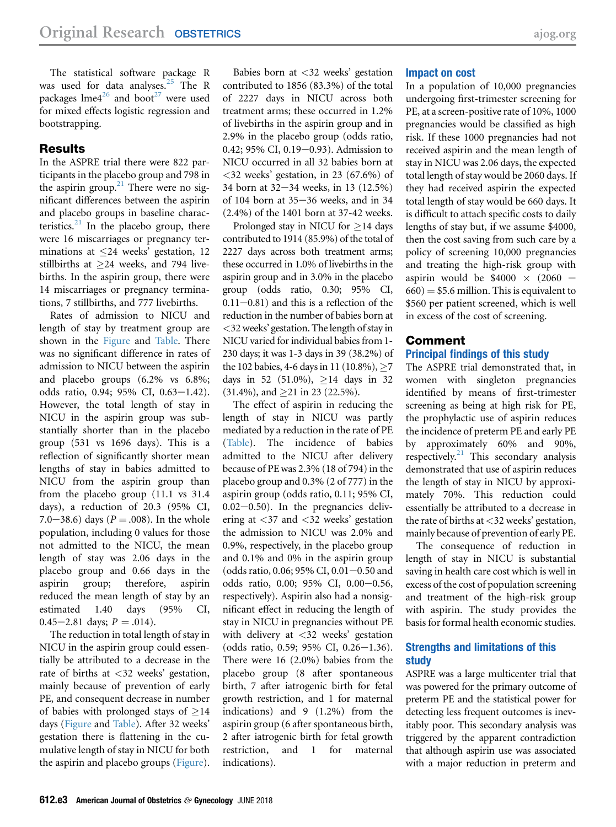The statistical software package R was used for data analyses.<sup>[25](#page-5-0)</sup> The R packages  $l$ me $4^{26}$  $4^{26}$  $4^{26}$  and boot<sup>[27](#page-5-0)</sup> were used for mixed effects logistic regression and bootstrapping.

## Results

In the ASPRE trial there were 822 participants in the placebo group and 798 in the aspirin group. $21$  There were no significant differences between the aspirin and placebo groups in baseline characteristics. $^{21}$  $^{21}$  $^{21}$  In the placebo group, there were 16 miscarriages or pregnancy terminations at  $\leq$  24 weeks' gestation, 12 stillbirths at  $\geq$  24 weeks, and 794 livebirths. In the aspirin group, there were 14 miscarriages or pregnancy terminations, 7 stillbirths, and 777 livebirths.

Rates of admission to NICU and length of stay by treatment group are shown in the [Figure](#page-3-0) and [Table](#page-4-0). There was no significant difference in rates of admission to NICU between the aspirin and placebo groups (6.2% vs 6.8%; odds ratio, 0.94; 95% CI, 0.63-1.42). However, the total length of stay in NICU in the aspirin group was substantially shorter than in the placebo group (531 vs 1696 days). This is a reflection of significantly shorter mean lengths of stay in babies admitted to NICU from the aspirin group than from the placebo group (11.1 vs 31.4 days), a reduction of 20.3 (95% CI, 7.0–38.6) days ( $P = .008$ ). In the whole population, including 0 values for those not admitted to the NICU, the mean length of stay was 2.06 days in the placebo group and 0.66 days in the aspirin group; therefore, aspirin reduced the mean length of stay by an estimated 1.40 days (95% CI, 0.45 $-2.81$  days;  $P = .014$ ).

The reduction in total length of stay in NICU in the aspirin group could essentially be attributed to a decrease in the rate of births at <32 weeks' gestation, mainly because of prevention of early PE, and consequent decrease in number of babies with prolonged stays of  $\geq$ 14 days [\(Figure](#page-3-0) and [Table\)](#page-4-0). After 32 weeks' gestation there is flattening in the cumulative length of stay in NICU for both the aspirin and placebo groups [\(Figure](#page-3-0)).

Babies born at <32 weeks' gestation contributed to 1856 (83.3%) of the total of 2227 days in NICU across both treatment arms; these occurred in 1.2% of livebirths in the aspirin group and in 2.9% in the placebo group (odds ratio, 0.42; 95% CI, 0.19 $-0.93$ ). Admission to NICU occurred in all 32 babies born at  $\langle 32 \rangle$  weeks' gestation, in 23 (67.6%) of 34 born at  $32-34$  weeks, in 13 (12.5%) of 104 born at  $35-36$  weeks, and in 34 (2.4%) of the 1401 born at 37-42 weeks.

Prolonged stay in NICU for  $\geq$  14 days contributed to 1914 (85.9%) of the total of 2227 days across both treatment arms; these occurred in 1.0% of livebirths in the aspirin group and in 3.0% in the placebo group (odds ratio, 0.30; 95% CI,  $0.11-0.81$ ) and this is a reflection of the reduction in the number of babies born at <32 weeks' gestation. The length of stay in NICU varied for individual babies from 1- 230 days; it was 1-3 days in 39 (38.2%) of the 102 babies, 4-6 days in 11 (10.8%),  $\geq$ 7 days in 52 (51.0%),  $\geq$  14 days in 32  $(31.4\%)$ , and  $\geq$ 21 in 23 (22.5%).

The effect of aspirin in reducing the length of stay in NICU was partly mediated by a reduction in the rate of PE ([Table](#page-4-0)). The incidence of babies admitted to the NICU after delivery because of PE was 2.3% (18 of 794) in the placebo group and 0.3% (2 of 777) in the aspirin group (odds ratio, 0.11; 95% CI,  $0.02-0.50$ . In the pregnancies delivering at <37 and <32 weeks' gestation the admission to NICU was 2.0% and 0.9%, respectively, in the placebo group and 0.1% and 0% in the aspirin group (odds ratio, 0.06; 95% CI, 0.01 $-0.50$  and odds ratio,  $0.00; 95\% \text{ CI}, 0.00-0.56,$ respectively). Aspirin also had a nonsignificant effect in reducing the length of stay in NICU in pregnancies without PE with delivery at <32 weeks' gestation  $(odds ratio, 0.59; 95\% CI, 0.26-1.36).$ There were 16 (2.0%) babies from the placebo group (8 after spontaneous birth, 7 after iatrogenic birth for fetal growth restriction, and 1 for maternal indications) and 9 (1.2%) from the aspirin group (6 after spontaneous birth, 2 after iatrogenic birth for fetal growth restriction, and 1 for maternal indications).

### Impact on cost

In a population of 10,000 pregnancies undergoing first-trimester screening for PE, at a screen-positive rate of 10%, 1000 pregnancies would be classified as high risk. If these 1000 pregnancies had not received aspirin and the mean length of stay in NICU was 2.06 days, the expected total length of stay would be 2060 days. If they had received aspirin the expected total length of stay would be 660 days. It is difficult to attach specific costs to daily lengths of stay but, if we assume \$4000, then the cost saving from such care by a policy of screening 10,000 pregnancies and treating the high-risk group with aspirin would be  $$4000 \times (2060 660$ ) = \$5.6 million. This is equivalent to \$560 per patient screened, which is well in excess of the cost of screening.

# Comment

## Principal findings of this study

The ASPRE trial demonstrated that, in women with singleton pregnancies identified by means of first-trimester screening as being at high risk for PE, the prophylactic use of aspirin reduces the incidence of preterm PE and early PE by approximately 60% and 90%, respectively. $21$  This secondary analysis demonstrated that use of aspirin reduces the length of stay in NICU by approximately 70%. This reduction could essentially be attributed to a decrease in the rate of births at  $\langle 32 \rangle$  weeks' gestation, mainly because of prevention of early PE.

The consequence of reduction in length of stay in NICU is substantial saving in health care cost which is well in excess of the cost of population screening and treatment of the high-risk group with aspirin. The study provides the basis for formal health economic studies.

## Strengths and limitations of this study

ASPRE was a large multicenter trial that was powered for the primary outcome of preterm PE and the statistical power for detecting less frequent outcomes is inevitably poor. This secondary analysis was triggered by the apparent contradiction that although aspirin use was associated with a major reduction in preterm and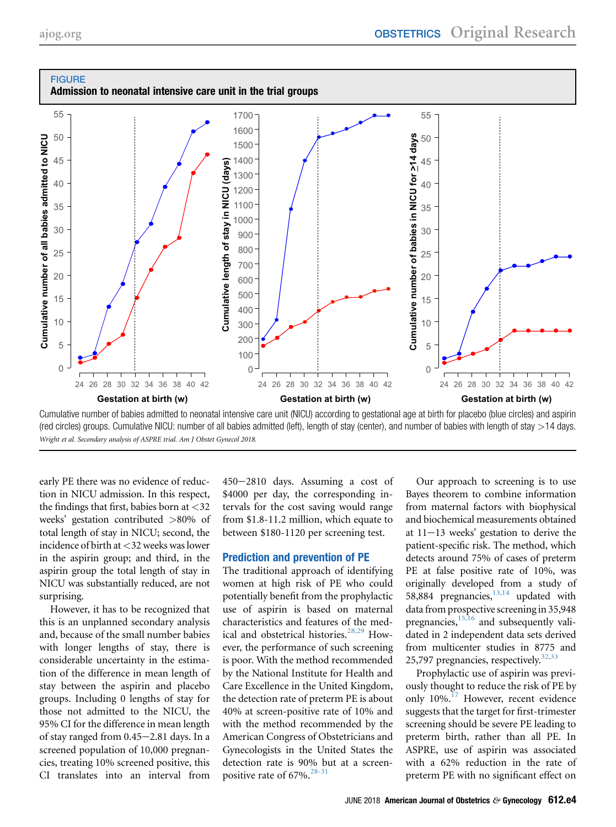<span id="page-3-0"></span>

Cumulative number of babies admitted to neonatal intensive care unit (NICU) according to gestational age at birth for placebo (blue circles) and aspirin (red circles) groups. Cumulative NICU: number of all babies admitted (left), length of stay (center), and number of babies with length of stay >14 days. Wright et al. Secondary analysis of ASPRE trial. Am J Obstet Gynecol 2018.

early PE there was no evidence of reduction in NICU admission. In this respect, the findings that first, babies born at  $\langle 32 \rangle$ weeks' gestation contributed >80% of total length of stay in NICU; second, the incidence of birth at <32 weeks was lower in the aspirin group; and third, in the aspirin group the total length of stay in NICU was substantially reduced, are not surprising.

However, it has to be recognized that this is an unplanned secondary analysis and, because of the small number babies with longer lengths of stay, there is considerable uncertainty in the estimation of the difference in mean length of stay between the aspirin and placebo groups. Including 0 lengths of stay for those not admitted to the NICU, the 95% CI for the difference in mean length of stay ranged from  $0.45-2.81$  days. In a screened population of 10,000 pregnancies, treating 10% screened positive, this CI translates into an interval from

450-2810 days. Assuming a cost of \$4000 per day, the corresponding intervals for the cost saving would range from \$1.8-11.2 million, which equate to between \$180-1120 per screening test.

#### Prediction and prevention of PE

The traditional approach of identifying women at high risk of PE who could potentially benefit from the prophylactic use of aspirin is based on maternal characteristics and features of the med-ical and obstetrical histories.<sup>[28,29](#page-5-0)</sup> However, the performance of such screening is poor. With the method recommended by the National Institute for Health and Care Excellence in the United Kingdom, the detection rate of preterm PE is about 40% at screen-positive rate of 10% and with the method recommended by the American Congress of Obstetricians and Gynecologists in the United States the detection rate is 90% but at a screen-positive rate of 67%.<sup>[28-31](#page-5-0)</sup>

Our approach to screening is to use Bayes theorem to combine information from maternal factors with biophysical and biochemical measurements obtained at  $11-13$  weeks' gestation to derive the patient-specific risk. The method, which detects around 75% of cases of preterm PE at false positive rate of 10%, was originally developed from a study of 58,884 pregnancies, $13,14$  updated with data from prospective screening in 35,948 pregnancies, $15,16$  and subsequently validated in 2 independent data sets derived from multicenter studies in 8775 and 25,797 pregnancies, respectively.  $32,33$ 

Prophylactic use of aspirin was previously thought to reduce the risk of PE by only 10%.<sup>[17](#page-5-0)</sup> However, recent evidence suggests that the target for first-trimester screening should be severe PE leading to preterm birth, rather than all PE. In ASPRE, use of aspirin was associated with a 62% reduction in the rate of preterm PE with no significant effect on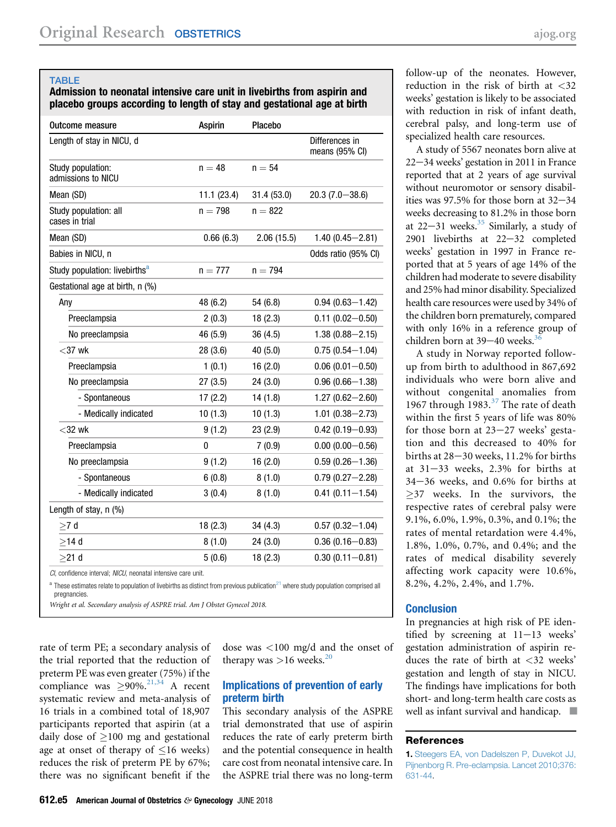#### <span id="page-4-0"></span>TABLE

Admission to neonatal intensive care unit in livebirths from aspirin and placebo groups according to length of stay and gestational age at birth

| <b>Outcome measure</b>                    | <b>Aspirin</b> | Placebo    |                                  |
|-------------------------------------------|----------------|------------|----------------------------------|
| Length of stay in NICU, d                 |                |            | Differences in<br>means (95% CI) |
| Study population:<br>admissions to NICU   | $n = 48$       | $n = 54$   |                                  |
| Mean (SD)                                 | 11.1(23.4)     | 31.4(53.0) | $20.3(7.0 - 38.6)$               |
| Study population: all<br>cases in trial   | $n = 798$      | $n = 822$  |                                  |
| Mean (SD)                                 | 0.66(6.3)      | 2.06(15.5) | $1.40(0.45 - 2.81)$              |
| Babies in NICU, n                         |                |            | Odds ratio (95% CI)              |
| Study population: livebirths <sup>a</sup> | $n = 777$      | $n = 794$  |                                  |
| Gestational age at birth, n (%)           |                |            |                                  |
| Any                                       | 48 (6.2)       | 54 (6.8)   | $0.94(0.63 - 1.42)$              |
| Preeclampsia                              | 2(0.3)         | 18(2.3)    | $0.11(0.02 - 0.50)$              |
| No preeclampsia                           | 46 (5.9)       | 36(4.5)    | $1.38(0.88 - 2.15)$              |
| $<$ 37 wk                                 | 28(3.6)        | 40 (5.0)   | $0.75(0.54 - 1.04)$              |
| Preeclampsia                              | 1(0.1)         | 16(2.0)    | $0.06(0.01 - 0.50)$              |
| No preeclampsia                           | 27(3.5)        | 24(3.0)    | $0.96(0.66 - 1.38)$              |
| - Spontaneous                             | 17(2.2)        | 14(1.8)    | $1.27(0.62 - 2.60)$              |
| - Medically indicated                     | 10(1.3)        | 10(1.3)    | $1.01(0.38 - 2.73)$              |
| $<$ 32 wk                                 | 9(1.2)         | 23(2.9)    | $0.42(0.19 - 0.93)$              |
| Preeclampsia                              | 0              | 7(0.9)     | $0.00(0.00 - 0.56)$              |
| No preeclampsia                           | 9(1.2)         | 16(2.0)    | $0.59(0.26 - 1.36)$              |
| - Spontaneous                             | 6(0.8)         | 8(1.0)     | $0.79(0.27 - 2.28)$              |
| - Medically indicated                     | 3(0.4)         | 8(1.0)     | $0.41(0.11 - 1.54)$              |
| Length of stay, n (%)                     |                |            |                                  |
| >7 d                                      | 18(2.3)        | 34(4.3)    | $0.57(0.32 - 1.04)$              |
| $>14$ d                                   | 8(1.0)         | 24(3.0)    | $0.36(0.16 - 0.83)$              |
| $>21$ d                                   | 5(0.6)         | 18(2.3)    | $0.30(0.11 - 0.81)$              |

CI, confidence interval; NICU, neonatal intensive care unit.

 $^{\rm a}$  These estimates relate to population of livebirths as distinct from previous publication<sup>[21](#page-5-0)</sup> where study population comprised all pregnancies.

Wright et al. Secondary analysis of ASPRE trial. Am J Obstet Gynecol 2018.

rate of term PE; a secondary analysis of the trial reported that the reduction of preterm PE was even greater (75%) if the compliance was  $\geq 90\%$ .<sup>[21,34](#page-5-0)</sup> A recent systematic review and meta-analysis of 16 trials in a combined total of 18,907 participants reported that aspirin (at a daily dose of  $\geq$ 100 mg and gestational age at onset of therapy of  $\leq 16$  weeks) reduces the risk of preterm PE by 67%; there was no significant benefit if the

dose was <100 mg/d and the onset of therapy was  $>16$  weeks.<sup>[20](#page-5-0)</sup>

#### Implications of prevention of early preterm birth

This secondary analysis of the ASPRE trial demonstrated that use of aspirin reduces the rate of early preterm birth and the potential consequence in health care cost from neonatal intensive care. In the ASPRE trial there was no long-term

follow-up of the neonates. However, reduction in the risk of birth at <32 weeks' gestation is likely to be associated with reduction in risk of infant death, cerebral palsy, and long-term use of specialized health care resources.

A study of 5567 neonates born alive at  $22 - 34$  weeks' gestation in 2011 in France reported that at 2 years of age survival without neuromotor or sensory disabilities was  $97.5\%$  for those born at  $32-34$ weeks decreasing to 81.2% in those born at  $22-31$  weeks.<sup>35</sup> Similarly, a study of  $2901$  livebirths at  $22-32$  completed weeks' gestation in 1997 in France reported that at 5 years of age 14% of the children had moderate to severe disability and 25% had minor disability. Specialized health care resources were used by 34% of the children born prematurely, compared with only 16% in a reference group of children born at  $39-40$  weeks.<sup>3</sup>

A study in Norway reported followup from birth to adulthood in 867,692 individuals who were born alive and without congenital anomalies from 1967 through  $1983.<sup>37</sup>$  $1983.<sup>37</sup>$  $1983.<sup>37</sup>$  The rate of death within the first 5 years of life was 80% for those born at  $23-27$  weeks' gestation and this decreased to 40% for births at  $28-30$  weeks,  $11.2\%$  for births at  $31-33$  weeks,  $2.3\%$  for births at  $34-36$  weeks, and  $0.6\%$  for births at  $\geq$ 37 weeks. In the survivors, the respective rates of cerebral palsy were 9.1%, 6.0%, 1.9%, 0.3%, and 0.1%; the rates of mental retardation were 4.4%, 1.8%, 1.0%, 0.7%, and 0.4%; and the rates of medical disability severely affecting work capacity were 10.6%, 8.2%, 4.2%, 2.4%, and 1.7%.

#### **Conclusion**

In pregnancies at high risk of PE identified by screening at  $11-13$  weeks' gestation administration of aspirin reduces the rate of birth at <32 weeks' gestation and length of stay in NICU. The findings have implications for both short- and long-term health care costs as well as infant survival and handicap.  $\blacksquare$ 

#### References

<sup>1.</sup> [Steegers EA, von Dadelszen P, Duvekot JJ,](http://refhub.elsevier.com/S0002-9378(18)30173-X/sref1) [Pijnenborg R. Pre-eclampsia. Lancet 2010;376:](http://refhub.elsevier.com/S0002-9378(18)30173-X/sref1) [631-44](http://refhub.elsevier.com/S0002-9378(18)30173-X/sref1).